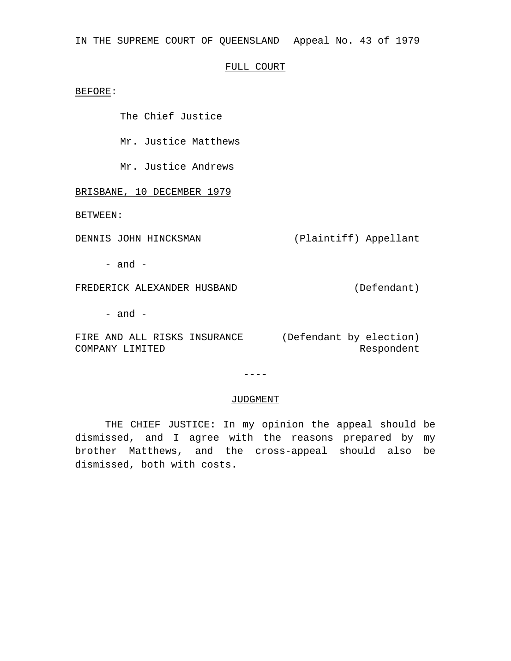IN THE SUPREME COURT OF QUEENSLAND Appeal No. 43 of 1979

## FULL COURT

BEFORE:

The Chief Justice

Mr. Justice Matthews

Mr. Justice Andrews

BRISBANE, 10 DECEMBER 1979

BETWEEN:

DENNIS JOHN HINCKSMAN (Plaintiff) Appellant

 $-$  and  $-$ 

FREDERICK ALEXANDER HUSBAND (Defendant)

- and -

FIRE AND ALL RISKS INSURANCE (Defendant by election) COMPANY LIMITED Respondent

 $---$ 

## JUDGMENT

THE CHIEF JUSTICE: In my opinion the appeal should be dismissed, and I agree with the reasons prepared by my brother Matthews, and the cross-appeal should also be dismissed, both with costs.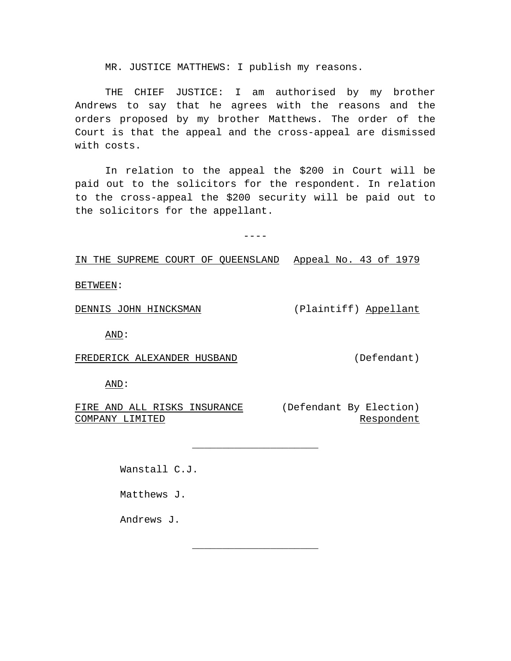MR. JUSTICE MATTHEWS: I publish my reasons.

THE CHIEF JUSTICE: I am authorised by my brother Andrews to say that he agrees with the reasons and the orders proposed by my brother Matthews. The order of the Court is that the appeal and the cross-appeal are dismissed with costs.

In relation to the appeal the \$200 in Court will be paid out to the solicitors for the respondent. In relation to the cross-appeal the \$200 security will be paid out to the solicitors for the appellant.

 $---$ 

\_\_\_\_\_\_\_\_\_\_\_\_\_\_\_\_\_\_\_\_\_

\_\_\_\_\_\_\_\_\_\_\_\_\_\_\_\_\_\_\_\_\_

IN THE SUPREME COURT OF QUEENSLAND Appeal No. 43 of 1979

BETWEEN:

DENNIS JOHN HINCKSMAN (Plaintiff) Appellant

AND:

FREDERICK ALEXANDER HUSBAND (Defendant)

AND:

FIRE AND ALL RISKS INSURANCE (Defendant By Election) COMPANY LIMITED

Respondent

Wanstall C.J.

Matthews J.

Andrews J.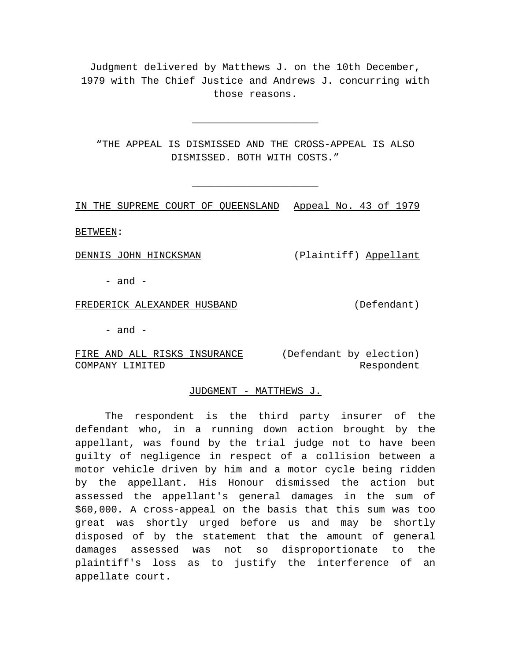Judgment delivered by Matthews J. on the 10th December, 1979 with The Chief Justice and Andrews J. concurring with those reasons.

"THE APPEAL IS DISMISSED AND THE CROSS-APPEAL IS ALSO DISMISSED. BOTH WITH COSTS."

\_\_\_\_\_\_\_\_\_\_\_\_\_\_\_\_\_\_\_\_\_

\_\_\_\_\_\_\_\_\_\_\_\_\_\_\_\_\_\_\_\_\_

IN THE SUPREME COURT OF QUEENSLAND Appeal No. 43 of 1979

BETWEEN:

DENNIS JOHN HINCKSMAN (Plaintiff) Appellant

 $-$  and  $-$ 

FREDERICK ALEXANDER HUSBAND (Defendant)

 $-$  and  $-$ 

FIRE AND ALL RISKS INSURANCE (Defendant by election) COMPANY LIMITED

Respondent

## JUDGMENT - MATTHEWS J.

The respondent is the third party insurer of the defendant who, in a running down action brought by the appellant, was found by the trial judge not to have been guilty of negligence in respect of a collision between a motor vehicle driven by him and a motor cycle being ridden by the appellant. His Honour dismissed the action but assessed the appellant's general damages in the sum of \$60,000. A cross-appeal on the basis that this sum was too great was shortly urged before us and may be shortly disposed of by the statement that the amount of general damages assessed was not so disproportionate to the plaintiff's loss as to justify the interference of an appellate court.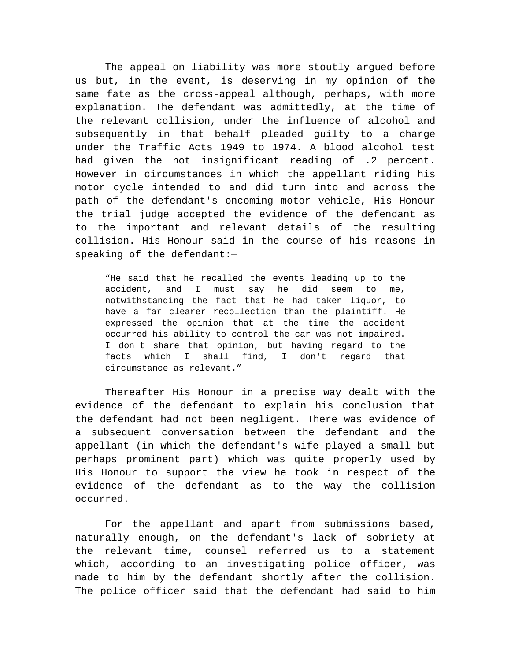The appeal on liability was more stoutly argued before us but, in the event, is deserving in my opinion of the same fate as the cross-appeal although, perhaps, with more explanation. The defendant was admittedly, at the time of the relevant collision, under the influence of alcohol and subsequently in that behalf pleaded guilty to a charge under the Traffic Acts 1949 to 1974. A blood alcohol test had given the not insignificant reading of .2 percent. However in circumstances in which the appellant riding his motor cycle intended to and did turn into and across the path of the defendant's oncoming motor vehicle, His Honour the trial judge accepted the evidence of the defendant as to the important and relevant details of the resulting collision. His Honour said in the course of his reasons in speaking of the defendant:—

"He said that he recalled the events leading up to the accident, and I must say he did seem to me, notwithstanding the fact that he had taken liquor, to have a far clearer recollection than the plaintiff. He expressed the opinion that at the time the accident occurred his ability to control the car was not impaired. I don't share that opinion, but having regard to the facts which I shall find, I don't regard that circumstance as relevant."

Thereafter His Honour in a precise way dealt with the evidence of the defendant to explain his conclusion that the defendant had not been negligent. There was evidence of a subsequent conversation between the defendant and the appellant (in which the defendant's wife played a small but perhaps prominent part) which was quite properly used by His Honour to support the view he took in respect of the evidence of the defendant as to the way the collision occurred.

For the appellant and apart from submissions based, naturally enough, on the defendant's lack of sobriety at the relevant time, counsel referred us to a statement which, according to an investigating police officer, was made to him by the defendant shortly after the collision. The police officer said that the defendant had said to him